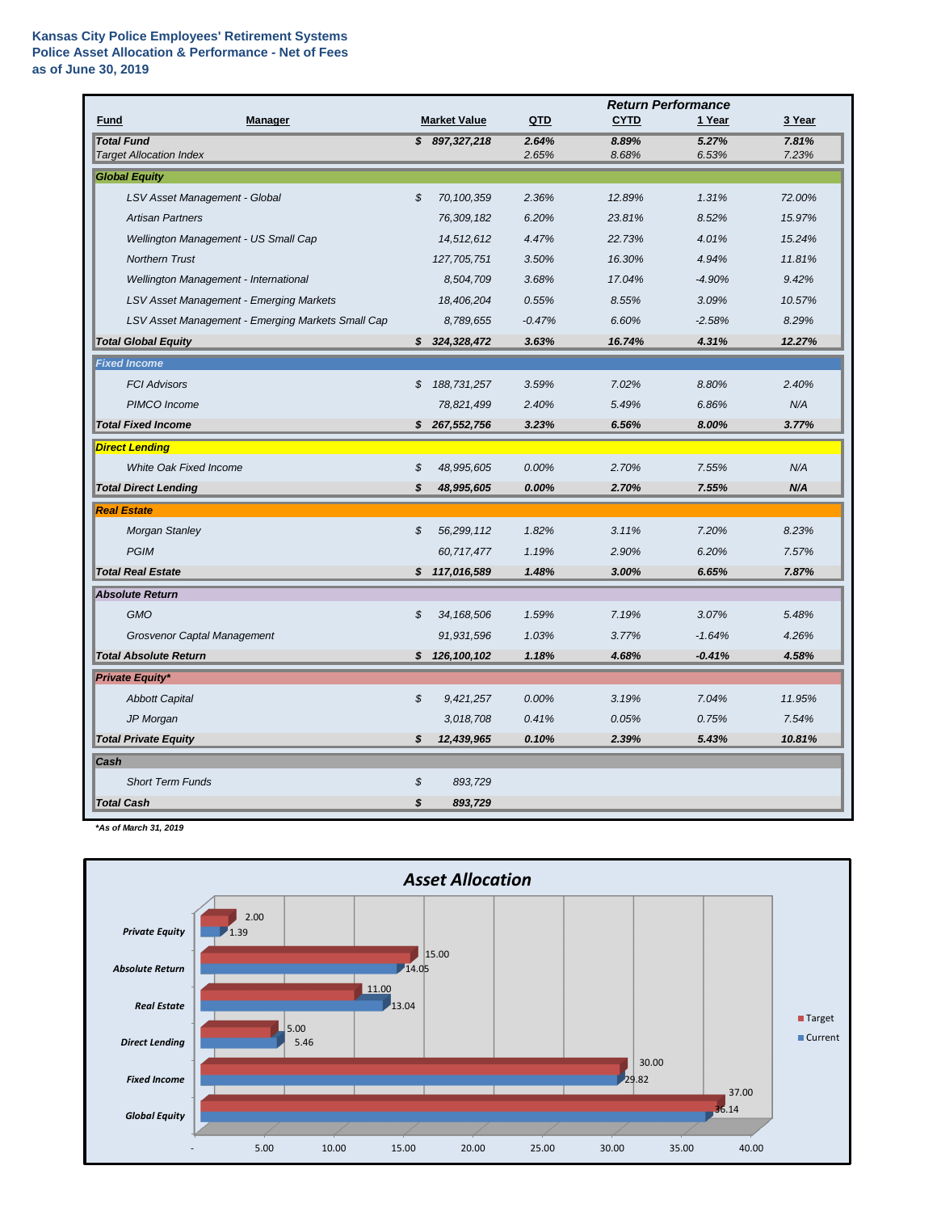|                                                     |                            |                     |                | <b>Return Performance</b> |                |                |  |  |
|-----------------------------------------------------|----------------------------|---------------------|----------------|---------------------------|----------------|----------------|--|--|
| <b>Fund</b><br><b>Manager</b>                       |                            | <b>Market Value</b> | QTD            | <b>CYTD</b>               | 1 Year         | 3 Year         |  |  |
| <b>Total Fund</b><br><b>Target Allocation Index</b> |                            | \$897,327,218       | 2.64%<br>2.65% | 8.89%<br>8.68%            | 5.27%<br>6.53% | 7.81%<br>7.23% |  |  |
| <b>Global Equity</b>                                |                            |                     |                |                           |                |                |  |  |
| LSV Asset Management - Global                       | $\boldsymbol{\mathcal{S}}$ | 70,100,359          | 2.36%          | 12.89%                    | 1.31%          | 72.00%         |  |  |
| <b>Artisan Partners</b>                             |                            | 76,309,182          | 6.20%          | 23.81%                    | 8.52%          | 15.97%         |  |  |
| Wellington Management - US Small Cap                |                            | 14,512,612          | 4.47%          | 22.73%                    | 4.01%          | 15.24%         |  |  |
| <b>Northern Trust</b>                               |                            | 127,705,751         | 3.50%          | 16.30%                    | 4.94%          | 11.81%         |  |  |
| Wellington Management - International               |                            | 8,504,709           | 3.68%          | 17.04%                    | $-4.90%$       | 9.42%          |  |  |
| LSV Asset Management - Emerging Markets             |                            | 18,406,204          | 0.55%          | 8.55%                     | 3.09%          | 10.57%         |  |  |
| LSV Asset Management - Emerging Markets Small Cap   |                            | 8,789,655           | $-0.47%$       | 6.60%                     | $-2.58%$       | 8.29%          |  |  |
| <b>Total Global Equity</b>                          | S.                         | 324,328,472         | 3.63%          | 16.74%                    | 4.31%          | 12.27%         |  |  |
| <b>Fixed Income</b>                                 |                            |                     |                |                           |                |                |  |  |
| <b>FCI Advisors</b>                                 | \$                         | 188,731,257         | 3.59%          | 7.02%                     | 8.80%          | 2.40%          |  |  |
| PIMCO Income                                        |                            | 78,821,499          | 2.40%          | 5.49%                     | 6.86%          | N/A            |  |  |
| <b>Total Fixed Income</b>                           | S                          | 267,552,756         | 3.23%          | 6.56%                     | 8.00%          | 3.77%          |  |  |
| <b>Direct Lending</b>                               |                            |                     |                |                           |                |                |  |  |
| <b>White Oak Fixed Income</b>                       | \$                         | 48,995,605          | 0.00%          | 2.70%                     | 7.55%          | N/A            |  |  |
| <b>Total Direct Lending</b>                         | \$                         | 48,995,605          | 0.00%          | 2.70%                     | 7.55%          | N/A            |  |  |
| <b>Real Estate</b>                                  |                            |                     |                |                           |                |                |  |  |
| <b>Morgan Stanley</b>                               | \$                         | 56,299,112          | 1.82%          | 3.11%                     | 7.20%          | 8.23%          |  |  |
| <b>PGIM</b>                                         |                            | 60,717,477          | 1.19%          | 2.90%                     | 6.20%          | 7.57%          |  |  |
| <b>Total Real Estate</b>                            |                            | \$117,016,589       | 1.48%          | 3.00%                     | 6.65%          | 7.87%          |  |  |
| <b>Absolute Return</b>                              |                            |                     |                |                           |                |                |  |  |
| <b>GMO</b>                                          | \$                         | 34, 168, 506        | 1.59%          | 7.19%                     | 3.07%          | 5.48%          |  |  |
| <b>Grosvenor Captal Management</b>                  |                            | 91,931,596          | 1.03%          | 3.77%                     | $-1.64%$       | 4.26%          |  |  |
| <b>Total Absolute Return</b>                        | \$                         | 126, 100, 102       | 1.18%          | 4.68%                     | $-0.41%$       | 4.58%          |  |  |
| <b>Private Equity*</b>                              |                            |                     |                |                           |                |                |  |  |
| <b>Abbott Capital</b>                               | \$                         | 9,421,257           | 0.00%          | 3.19%                     | 7.04%          | 11.95%         |  |  |
| JP Morgan                                           |                            | 3,018,708           | 0.41%          | 0.05%                     | 0.75%          | 7.54%          |  |  |
| <b>Total Private Equity</b>                         | $\boldsymbol{\mathcal{S}}$ | 12,439,965          | 0.10%          | 2.39%                     | 5.43%          | 10.81%         |  |  |
| Cash                                                |                            |                     |                |                           |                |                |  |  |
| <b>Short Term Funds</b>                             | \$                         | 893,729             |                |                           |                |                |  |  |
| <b>Total Cash</b>                                   | \$                         | 893,729             |                |                           |                |                |  |  |

*\*As of March 31, 2019*